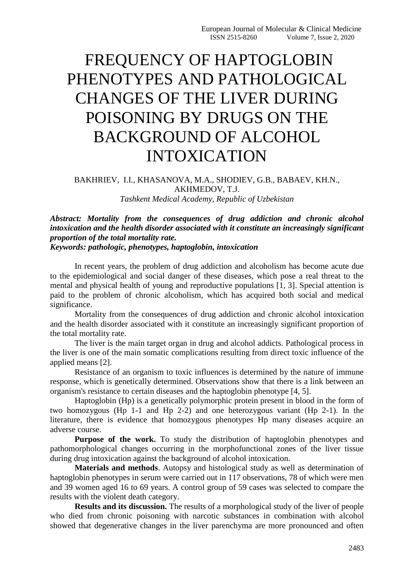## FREQUENCY OF HAPTOGLOBIN PHENOTYPES AND PATHOLOGICAL CHANGES OF THE LIVER DURING POISONING BY DRUGS ON THE BACKGROUND OF ALCOHOL INTOXICATION

## BAKHRIEV, I.I., KHASANOVA, M.A., SHODIEV, G.B., BABAEV, KH.N., AKHMEDOV, T.J. *Tashkent Medical Academy, Republic of Uzbekistan*

*Abstract: Mortality from the consequences of drug addiction and chronic alcohol intoxication and the health disorder associated with it constitute an increasingly significant proportion of the total mortality rate.*

## *Keywords: pathologic, phenotypes, haptoglobin, intoxication*

In recent years, the problem of drug addiction and alcoholism has become acute due to the epidemiological and social danger of these diseases, which pose a real threat to the mental and physical health of young and reproductive populations [1, 3]. Special attention is paid to the problem of chronic alcoholism, which has acquired both social and medical significance.

Mortality from the consequences of drug addiction and chronic alcohol intoxication and the health disorder associated with it constitute an increasingly significant proportion of the total mortality rate.

The liver is the main target organ in drug and alcohol addicts. Pathological process in the liver is one of the main somatic complications resulting from direct toxic influence of the applied means [2].

Resistance of an organism to toxic influences is determined by the nature of immune response, which is genetically determined. Observations show that there is a link between an organism's resistance to certain diseases and the haptoglobin phenotype [4, 5].

Haptoglobin (Hp) is a genetically polymorphic protein present in blood in the form of two homozygous (Hp 1-1 and Hp 2-2) and one heterozygous variant (Hp 2-1). In the literature, there is evidence that homozygous phenotypes Hp many diseases acquire an adverse course.

**Purpose of the work.** To study the distribution of haptoglobin phenotypes and pathomorphological changes occurring in the morphofunctional zones of the liver tissue during drug intoxication against the background of alcohol intoxication.

**Materials and methods**. Autopsy and histological study as well as determination of haptoglobin phenotypes in serum were carried out in 117 observations, 78 of which were men and 39 women aged 16 to 69 years. A control group of 59 cases was selected to compare the results with the violent death category.

**Results and its discussion.** The results of a morphological study of the liver of people who died from chronic poisoning with narcotic substances in combination with alcohol showed that degenerative changes in the liver parenchyma are more pronounced and often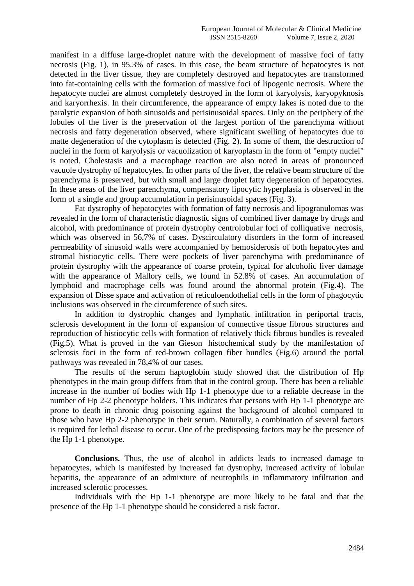manifest in a diffuse large-droplet nature with the development of massive foci of fatty necrosis (Fig. 1), in 95.3% of cases. In this case, the beam structure of hepatocytes is not detected in the liver tissue, they are completely destroyed and hepatocytes are transformed into fat-containing cells with the formation of massive foci of lipogenic necrosis. Where the hepatocyte nuclei are almost completely destroyed in the form of karyolysis, karyopyknosis and karyorrhexis. In their circumference, the appearance of empty lakes is noted due to the paralytic expansion of both sinusoids and perisinusoidal spaces. Only on the periphery of the lobules of the liver is the preservation of the largest portion of the parenchyma without necrosis and fatty degeneration observed, where significant swelling of hepatocytes due to matte degeneration of the cytoplasm is detected (Fig. 2). In some of them, the destruction of nuclei in the form of karyolysis or vacuolization of karyoplasm in the form of "empty nuclei" is noted. Cholestasis and a macrophage reaction are also noted in areas of pronounced vacuole dystrophy of hepatocytes. In other parts of the liver, the relative beam structure of the parenchyma is preserved, but with small and large droplet fatty degeneration of hepatocytes. In these areas of the liver parenchyma, compensatory lipocytic hyperplasia is observed in the form of a single and group accumulation in perisinusoidal spaces (Fig. 3).

Fat dystrophy of hepatocytes with formation of fatty necrosis and lipogranulomas was revealed in the form of characteristic diagnostic signs of combined liver damage by drugs and alcohol, with predominance of protein dystrophy centrolobular foci of colliquative necrosis, which was observed in 56,7% of cases. Dyscirculatory disorders in the form of increased permeability of sinusoid walls were accompanied by hemosiderosis of both hepatocytes and stromal histiocytic cells. There were pockets of liver parenchyma with predominance of protein dystrophy with the appearance of coarse protein, typical for alcoholic liver damage with the appearance of Mallory cells, we found in 52.8% of cases. An accumulation of lymphoid and macrophage cells was found around the abnormal protein (Fig.4). The expansion of Disse space and activation of reticuloendothelial cells in the form of phagocytic inclusions was observed in the circumference of such sites.

In addition to dystrophic changes and lymphatic infiltration in periportal tracts, sclerosis development in the form of expansion of connective tissue fibrous structures and reproduction of histiocytic cells with formation of relatively thick fibrous bundles is revealed (Fig.5). What is proved in the van Gieson histochemical study by the manifestation of sclerosis foci in the form of red-brown collagen fiber bundles (Fig.6) around the portal pathways was revealed in 78,4% of our cases.

The results of the serum haptoglobin study showed that the distribution of Hp phenotypes in the main group differs from that in the control group. There has been a reliable increase in the number of bodies with Hp 1-1 phenotype due to a reliable decrease in the number of Hp 2-2 phenotype holders. This indicates that persons with Hp 1-1 phenotype are prone to death in chronic drug poisoning against the background of alcohol compared to those who have Hp 2-2 phenotype in their serum. Naturally, a combination of several factors is required for lethal disease to occur. One of the predisposing factors may be the presence of the Hp 1-1 phenotype.

**Conclusions.** Thus, the use of alcohol in addicts leads to increased damage to hepatocytes, which is manifested by increased fat dystrophy, increased activity of lobular hepatitis, the appearance of an admixture of neutrophils in inflammatory infiltration and increased sclerotic processes.

Individuals with the Hp 1-1 phenotype are more likely to be fatal and that the presence of the Hp 1-1 phenotype should be considered a risk factor.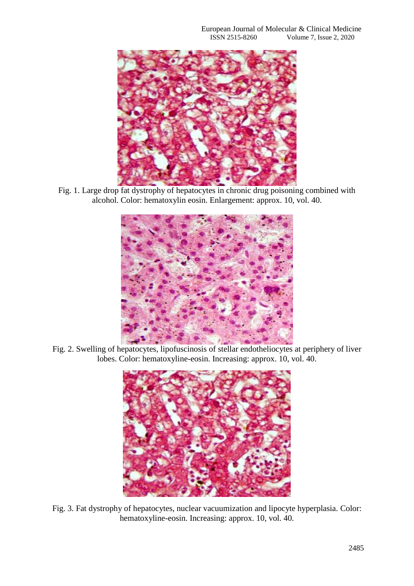

Fig. 1. Large drop fat dystrophy of hepatocytes in chronic drug poisoning combined with alcohol. Color: hematoxylin eosin. Enlargement: approx. 10, vol. 40.



Fig. 2. Swelling of hepatocytes, lipofuscinosis of stellar endotheliocytes at periphery of liver lobes. Color: hematoxyline-eosin. Increasing: approx. 10, vol. 40.



Fig. 3. Fat dystrophy of hepatocytes, nuclear vacuumization and lipocyte hyperplasia. Color: hematoxyline-eosin. Increasing: approx. 10, vol. 40.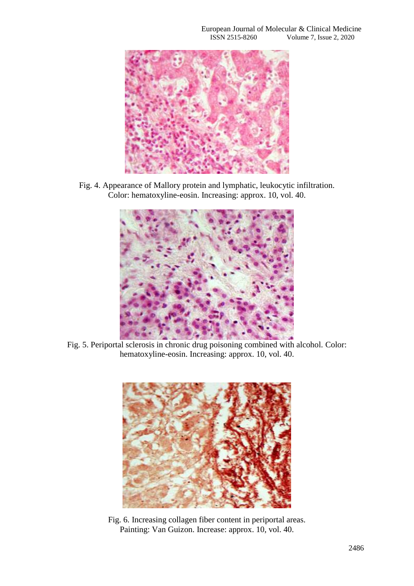

Fig. 4. Appearance of Mallory protein and lymphatic, leukocytic infiltration. Color: hematoxyline-eosin. Increasing: approx. 10, vol. 40.



Fig. 5. Periportal sclerosis in chronic drug poisoning combined with alcohol. Color: hematoxyline-eosin. Increasing: approx. 10, vol. 40.



Fig. 6. Increasing collagen fiber content in periportal areas. Painting: Van Guizon. Increase: approx. 10, vol. 40.